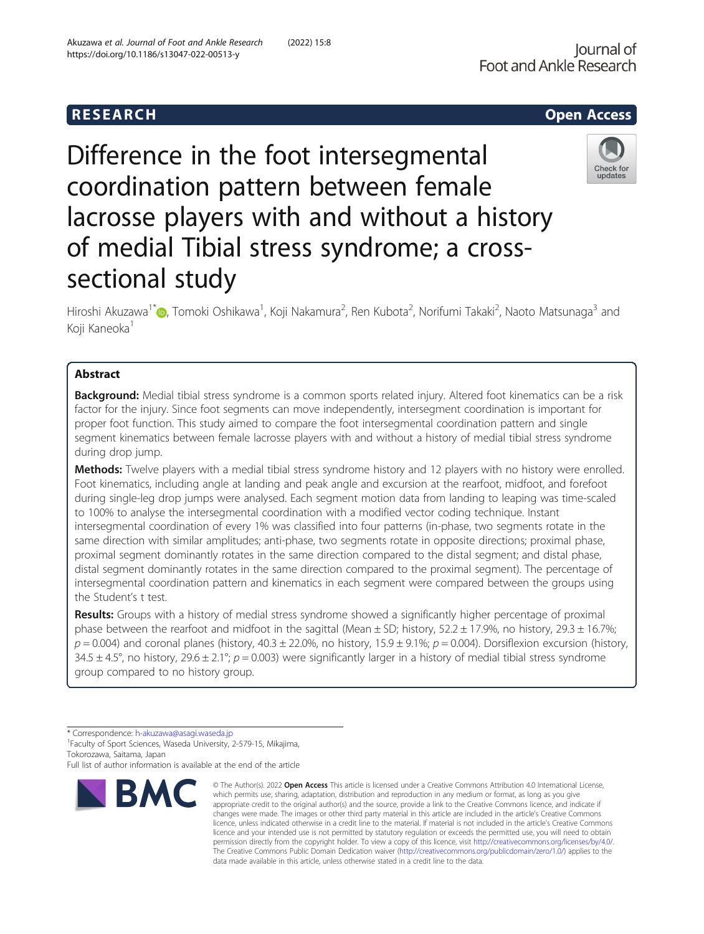# R E S EAR CH Open Access

# Difference in the foot intersegmental coordination pattern between female lacrosse players with and without a history of medial Tibial stress syndrome; a crosssectional study

Hiroshi Akuzawa<sup>1[\\*](http://orcid.org/0000-0002-9316-5570)</sup>©, Tomoki Oshikawa<sup>1</sup>, Koji Nakamura<sup>2</sup>, Ren Kubota<sup>2</sup>, Norifumi Takaki<sup>2</sup>, Naoto Matsunaga<sup>3</sup> and Koji Kaneoka<sup>1</sup>

# Abstract

Background: Medial tibial stress syndrome is a common sports related injury. Altered foot kinematics can be a risk factor for the injury. Since foot segments can move independently, intersegment coordination is important for proper foot function. This study aimed to compare the foot intersegmental coordination pattern and single segment kinematics between female lacrosse players with and without a history of medial tibial stress syndrome during drop jump.

Methods: Twelve players with a medial tibial stress syndrome history and 12 players with no history were enrolled. Foot kinematics, including angle at landing and peak angle and excursion at the rearfoot, midfoot, and forefoot during single-leg drop jumps were analysed. Each segment motion data from landing to leaping was time-scaled to 100% to analyse the intersegmental coordination with a modified vector coding technique. Instant intersegmental coordination of every 1% was classified into four patterns (in-phase, two segments rotate in the same direction with similar amplitudes; anti-phase, two segments rotate in opposite directions; proximal phase, proximal segment dominantly rotates in the same direction compared to the distal segment; and distal phase, distal segment dominantly rotates in the same direction compared to the proximal segment). The percentage of intersegmental coordination pattern and kinematics in each segment were compared between the groups using the Student's t test.

Results: Groups with a history of medial stress syndrome showed a significantly higher percentage of proximal phase between the rearfoot and midfoot in the sagittal (Mean  $\pm$  SD; history, 52.2  $\pm$  17.9%, no history, 29.3  $\pm$  16.7%;  $p = 0.004$ ) and coronal planes (history, 40.3 ± 22.0%, no history, 15.9 ± 9.1%;  $p = 0.004$ ). Dorsiflexion excursion (history, 34.5  $\pm$  4.5°, no history, 29.6  $\pm$  2.1°; p = 0.003) were significantly larger in a history of medial tibial stress syndrome group compared to no history group.

BMC

<sup>1</sup>Faculty of Sport Sciences, Waseda University, 2-579-15, Mikajima, Tokorozawa, Saitama, Japan

Full list of author information is available at the end of the article

#### © The Author(s), 2022 **Open Access** This article is licensed under a Creative Commons Attribution 4.0 International License, which permits use, sharing, adaptation, distribution and reproduction in any medium or format, as long as you give appropriate credit to the original author(s) and the source, provide a link to the Creative Commons licence, and indicate if changes were made. The images or other third party material in this article are included in the article's Creative Commons licence, unless indicated otherwise in a credit line to the material. If material is not included in the article's Creative Commons licence and your intended use is not permitted by statutory regulation or exceeds the permitted use, you will need to obtain permission directly from the copyright holder. To view a copy of this licence, visit [http://creativecommons.org/licenses/by/4.0/.](http://creativecommons.org/licenses/by/4.0/) The Creative Commons Public Domain Dedication waiver [\(http://creativecommons.org/publicdomain/zero/1.0/](http://creativecommons.org/publicdomain/zero/1.0/)) applies to the data made available in this article, unless otherwise stated in a credit line to the data.

Akuzawa et al. Journal of Foot and Ankle Research (2022) 15:8

https://doi.org/10.1186/s13047-022-00513-y







updates

<sup>\*</sup> Correspondence: [h-akuzawa@asagi.waseda.jp](mailto:h-akuzawa@asagi.waseda.jp) <sup>1</sup>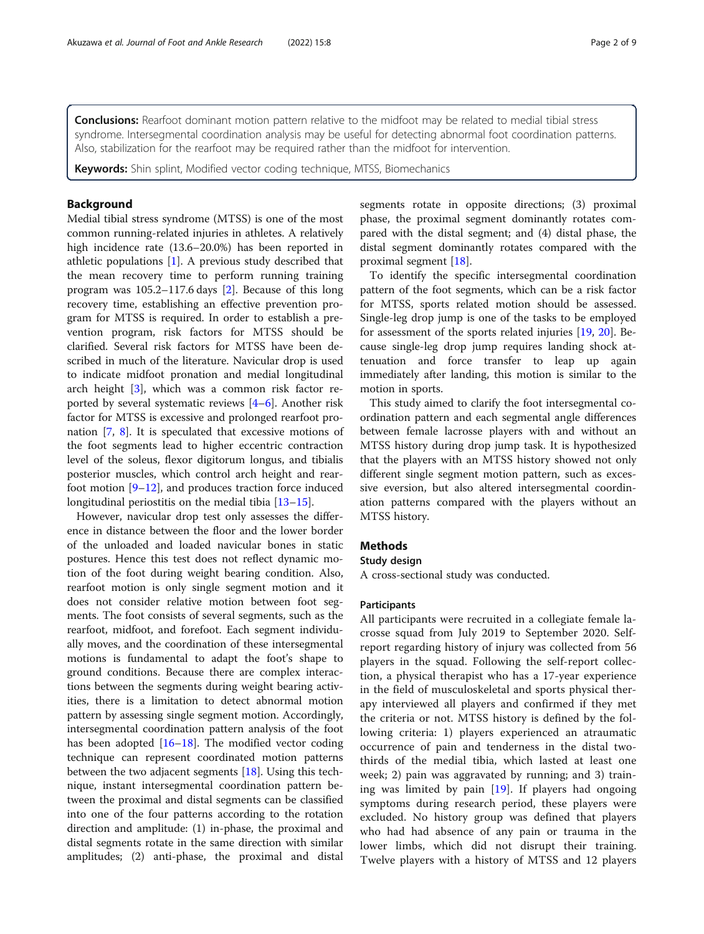Conclusions: Rearfoot dominant motion pattern relative to the midfoot may be related to medial tibial stress syndrome. Intersegmental coordination analysis may be useful for detecting abnormal foot coordination patterns. Also, stabilization for the rearfoot may be required rather than the midfoot for intervention.

Keywords: Shin splint, Modified vector coding technique, MTSS, Biomechanics

# Background

Medial tibial stress syndrome (MTSS) is one of the most common running-related injuries in athletes. A relatively high incidence rate (13.6–20.0%) has been reported in athletic populations [[1\]](#page-7-0). A previous study described that the mean recovery time to perform running training program was 105.2–117.6 days [\[2](#page-7-0)]. Because of this long recovery time, establishing an effective prevention program for MTSS is required. In order to establish a prevention program, risk factors for MTSS should be clarified. Several risk factors for MTSS have been described in much of the literature. Navicular drop is used to indicate midfoot pronation and medial longitudinal arch height [\[3](#page-7-0)], which was a common risk factor reported by several systematic reviews [[4](#page-7-0)–[6](#page-7-0)]. Another risk factor for MTSS is excessive and prolonged rearfoot pronation [\[7](#page-7-0), [8](#page-7-0)]. It is speculated that excessive motions of the foot segments lead to higher eccentric contraction level of the soleus, flexor digitorum longus, and tibialis posterior muscles, which control arch height and rearfoot motion  $[9-12]$  $[9-12]$  $[9-12]$  $[9-12]$ , and produces traction force induced longitudinal periostitis on the medial tibia [[13](#page-7-0)–[15\]](#page-7-0).

However, navicular drop test only assesses the difference in distance between the floor and the lower border of the unloaded and loaded navicular bones in static postures. Hence this test does not reflect dynamic motion of the foot during weight bearing condition. Also, rearfoot motion is only single segment motion and it does not consider relative motion between foot segments. The foot consists of several segments, such as the rearfoot, midfoot, and forefoot. Each segment individually moves, and the coordination of these intersegmental motions is fundamental to adapt the foot's shape to ground conditions. Because there are complex interactions between the segments during weight bearing activities, there is a limitation to detect abnormal motion pattern by assessing single segment motion. Accordingly, intersegmental coordination pattern analysis of the foot has been adopted  $[16–18]$  $[16–18]$  $[16–18]$  $[16–18]$ . The modified vector coding technique can represent coordinated motion patterns between the two adjacent segments [[18](#page-7-0)]. Using this technique, instant intersegmental coordination pattern between the proximal and distal segments can be classified into one of the four patterns according to the rotation direction and amplitude: (1) in-phase, the proximal and distal segments rotate in the same direction with similar amplitudes; (2) anti-phase, the proximal and distal segments rotate in opposite directions; (3) proximal phase, the proximal segment dominantly rotates compared with the distal segment; and (4) distal phase, the distal segment dominantly rotates compared with the proximal segment [\[18](#page-7-0)].

To identify the specific intersegmental coordination pattern of the foot segments, which can be a risk factor for MTSS, sports related motion should be assessed. Single-leg drop jump is one of the tasks to be employed for assessment of the sports related injuries [\[19,](#page-7-0) [20](#page-7-0)]. Because single-leg drop jump requires landing shock attenuation and force transfer to leap up again immediately after landing, this motion is similar to the motion in sports.

This study aimed to clarify the foot intersegmental coordination pattern and each segmental angle differences between female lacrosse players with and without an MTSS history during drop jump task. It is hypothesized that the players with an MTSS history showed not only different single segment motion pattern, such as excessive eversion, but also altered intersegmental coordination patterns compared with the players without an MTSS history.

#### Methods

# Study design

A cross-sectional study was conducted.

# Participants

All participants were recruited in a collegiate female lacrosse squad from July 2019 to September 2020. Selfreport regarding history of injury was collected from 56 players in the squad. Following the self-report collection, a physical therapist who has a 17-year experience in the field of musculoskeletal and sports physical therapy interviewed all players and confirmed if they met the criteria or not. MTSS history is defined by the following criteria: 1) players experienced an atraumatic occurrence of pain and tenderness in the distal twothirds of the medial tibia, which lasted at least one week; 2) pain was aggravated by running; and 3) training was limited by pain [[19\]](#page-7-0). If players had ongoing symptoms during research period, these players were excluded. No history group was defined that players who had had absence of any pain or trauma in the lower limbs, which did not disrupt their training. Twelve players with a history of MTSS and 12 players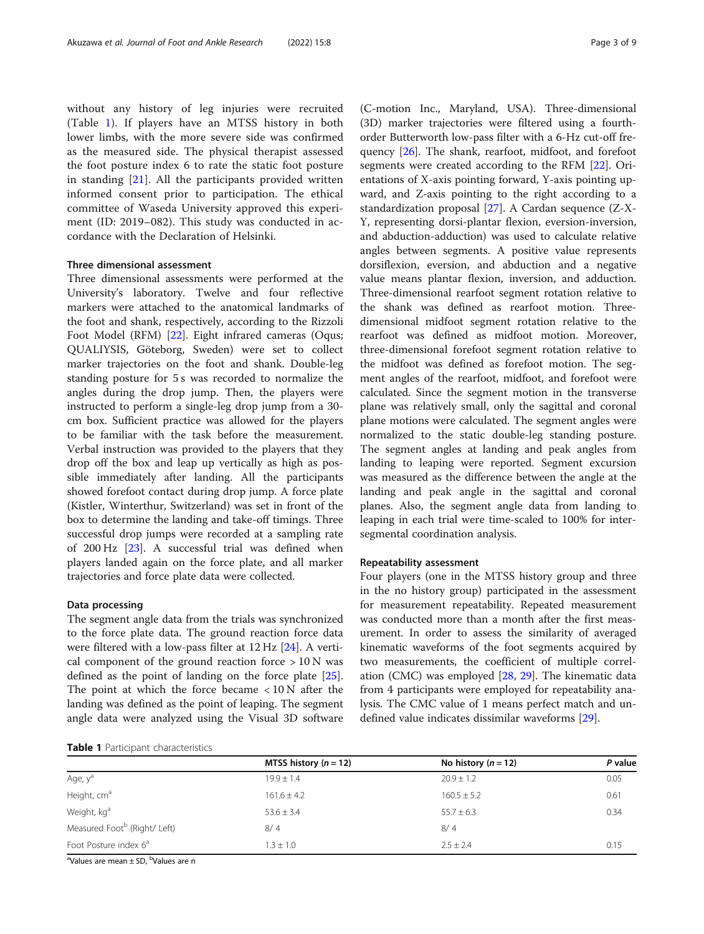without any history of leg injuries were recruited (Table 1). If players have an MTSS history in both lower limbs, with the more severe side was confirmed as the measured side. The physical therapist assessed the foot posture index 6 to rate the static foot posture in standing [\[21](#page-7-0)]. All the participants provided written informed consent prior to participation. The ethical committee of Waseda University approved this experiment (ID: 2019–082). This study was conducted in accordance with the Declaration of Helsinki.

## Three dimensional assessment

Three dimensional assessments were performed at the University's laboratory. Twelve and four reflective markers were attached to the anatomical landmarks of the foot and shank, respectively, according to the Rizzoli Foot Model (RFM) [\[22](#page-7-0)]. Eight infrared cameras (Oqus; QUALIYSIS, Göteborg, Sweden) were set to collect marker trajectories on the foot and shank. Double-leg standing posture for 5 s was recorded to normalize the angles during the drop jump. Then, the players were instructed to perform a single-leg drop jump from a 30 cm box. Sufficient practice was allowed for the players to be familiar with the task before the measurement. Verbal instruction was provided to the players that they drop off the box and leap up vertically as high as possible immediately after landing. All the participants showed forefoot contact during drop jump. A force plate (Kistler, Winterthur, Switzerland) was set in front of the box to determine the landing and take-off timings. Three successful drop jumps were recorded at a sampling rate of 200 Hz [\[23](#page-7-0)]. A successful trial was defined when players landed again on the force plate, and all marker trajectories and force plate data were collected.

# Data processing

The segment angle data from the trials was synchronized to the force plate data. The ground reaction force data were filtered with a low-pass filter at 12 Hz [\[24](#page-7-0)]. A vertical component of the ground reaction force  $> 10$  N was defined as the point of landing on the force plate [\[25](#page-7-0)]. The point at which the force became < 10 N after the landing was defined as the point of leaping. The segment angle data were analyzed using the Visual 3D software

|  |  | Table 1 Participant characteristics |
|--|--|-------------------------------------|
|--|--|-------------------------------------|

(C-motion Inc., Maryland, USA). Three-dimensional (3D) marker trajectories were filtered using a fourthorder Butterworth low-pass filter with a 6-Hz cut-off frequency [[26\]](#page-7-0). The shank, rearfoot, midfoot, and forefoot segments were created according to the RFM [\[22](#page-7-0)]. Orientations of X-axis pointing forward, Y-axis pointing upward, and Z-axis pointing to the right according to a standardization proposal [[27](#page-7-0)]. A Cardan sequence (Z-X-Y, representing dorsi-plantar flexion, eversion-inversion, and abduction-adduction) was used to calculate relative angles between segments. A positive value represents dorsiflexion, eversion, and abduction and a negative value means plantar flexion, inversion, and adduction. Three-dimensional rearfoot segment rotation relative to the shank was defined as rearfoot motion. Threedimensional midfoot segment rotation relative to the rearfoot was defined as midfoot motion. Moreover, three-dimensional forefoot segment rotation relative to the midfoot was defined as forefoot motion. The segment angles of the rearfoot, midfoot, and forefoot were calculated. Since the segment motion in the transverse plane was relatively small, only the sagittal and coronal plane motions were calculated. The segment angles were normalized to the static double-leg standing posture. The segment angles at landing and peak angles from landing to leaping were reported. Segment excursion was measured as the difference between the angle at the landing and peak angle in the sagittal and coronal planes. Also, the segment angle data from landing to leaping in each trial were time-scaled to 100% for intersegmental coordination analysis.

#### Repeatability assessment

Four players (one in the MTSS history group and three in the no history group) participated in the assessment for measurement repeatability. Repeated measurement was conducted more than a month after the first measurement. In order to assess the similarity of averaged kinematic waveforms of the foot segments acquired by two measurements, the coefficient of multiple correlation (CMC) was employed [[28,](#page-7-0) [29\]](#page-8-0). The kinematic data from 4 participants were employed for repeatability analysis. The CMC value of 1 means perfect match and undefined value indicates dissimilar waveforms [[29\]](#page-8-0).

|                                          | MTSS history $(n = 12)$ | No history ( $n = 12$ ) | P value |
|------------------------------------------|-------------------------|-------------------------|---------|
| Age, y <sup>a</sup>                      | $19.9 \pm 1.4$          | $20.9 \pm 1.2$          | 0.05    |
| Height, cm <sup>a</sup>                  | $161.6 \pm 4.2$         | $160.5 \pm 5.2$         | 0.61    |
| Weight, kg <sup>a</sup>                  | $53.6 \pm 3.4$          | $55.7 \pm 6.3$          | 0.34    |
| Measured Foot <sup>b</sup> (Right/ Left) | 8/4                     | 8/4                     |         |
| Foot Posture index 6 <sup>a</sup>        | $1.3 \pm 1.0$           | $2.5 + 2.4$             | 0.15    |
| $     -$<br>$2x + 1$                     |                         |                         |         |

<sup>a</sup>Values are mean ± SD, <sup>b</sup>Values are n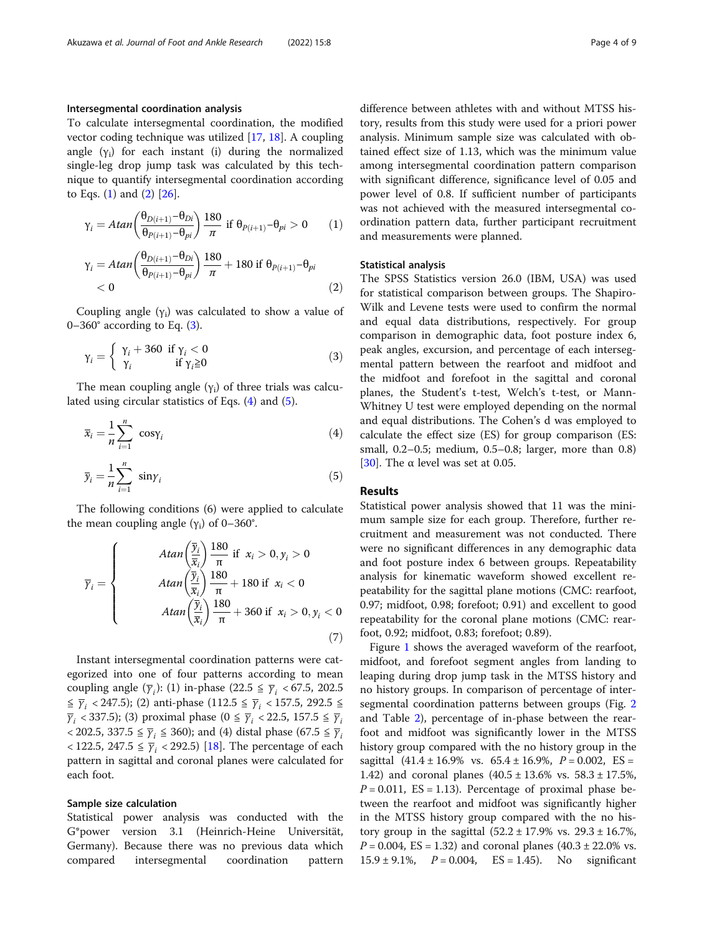#### Intersegmental coordination analysis

To calculate intersegmental coordination, the modified vector coding technique was utilized [\[17](#page-7-0), [18](#page-7-0)]. A coupling angle  $(y_i)$  for each instant (i) during the normalized single-leg drop jump task was calculated by this technique to quantify intersegmental coordination according to Eqs.  $(1)$  and  $(2)$   $[26]$ .

$$
\gamma_{i} = Atan\left(\frac{\theta_{D(i+1)} - \theta_{Di}}{\theta_{P(i+1)} - \theta_{pi}}\right) \frac{180}{\pi} \text{ if } \theta_{P(i+1)} - \theta_{pi} > 0 \qquad (1)
$$
  

$$
\gamma_{i} = Atan\left(\frac{\theta_{D(i+1)} - \theta_{Di}}{\theta_{P(i+1)} - \theta_{pi}}\right) \frac{180}{\pi} + 180 \text{ if } \theta_{P(i+1)} - \theta_{pi} < 0 \qquad (2)
$$

Coupling angle  $(y_i)$  was calculated to show a value of  $0-360^\circ$  according to Eq. (3).

$$
\gamma_i = \begin{cases} \gamma_i + 360 & \text{if } \gamma_i < 0\\ \gamma_i & \text{if } \gamma_i \ge 0 \end{cases}
$$
 (3)

The mean coupling angle  $(y_i)$  of three trials was calculated using circular statistics of Eqs. (4) and (5).

$$
\overline{x}_i = \frac{1}{n} \sum_{i=1}^n \cos \gamma_i \tag{4}
$$

$$
\overline{y}_i = \frac{1}{n} \sum_{i=1}^n \sin \gamma_i \tag{5}
$$

The following conditions (6) were applied to calculate the mean coupling angle  $(y_i)$  of 0–360°.

$$
\overline{y}_i = \begin{cases}\n\text{Atan}\left(\frac{\overline{y}_i}{\overline{x}_i}\right) \frac{180}{\pi} & \text{if } x_i > 0, y_i > 0 \\
\text{Atan}\left(\frac{\overline{y}_i}{\overline{x}_i}\right) \frac{180}{\pi} + 180 & \text{if } x_i < 0 \\
\text{Atan}\left(\frac{\overline{y}_i}{\overline{x}_i}\right) \frac{180}{\pi} + 360 & \text{if } x_i > 0, y_i < 0\n\end{cases}
$$
\n(7)

Instant intersegmental coordination patterns were categorized into one of four patterns according to mean coupling angle  $(\overline{\gamma}_i)$ : (1) in-phase (22.5  $\leq \overline{\gamma}_i$  < 67.5, 202.5  $\leq \overline{\gamma}_i$  < 247.5); (2) anti-phase (112.5  $\leq \overline{\gamma}_i$  < 157.5, 292.5  $\leq$  $\overline{\gamma}_i$  < 337.5); (3) proximal phase (0  $\leq \overline{\gamma}_i$  < 22.5, 157.5  $\leq \overline{\gamma}_i$  $\langle 202.5, 337.5 \leq \overline{\gamma}_i \leq 360$ ); and (4) distal phase (67.5  $\leq \overline{\gamma}_i$  $<$  122.5, 247.5  $\leq \overline{\gamma}_i$  < 292.5) [\[18](#page-7-0)]. The percentage of each pattern in sagittal and coronal planes were calculated for each foot.

#### Sample size calculation

Statistical power analysis was conducted with the G\*power version 3.1 (Heinrich-Heine Universität, Germany). Because there was no previous data which compared intersegmental coordination pattern

difference between athletes with and without MTSS history, results from this study were used for a priori power analysis. Minimum sample size was calculated with obtained effect size of 1.13, which was the minimum value among intersegmental coordination pattern comparison with significant difference, significance level of 0.05 and power level of 0.8. If sufficient number of participants was not achieved with the measured intersegmental coordination pattern data, further participant recruitment and measurements were planned.

#### Statistical analysis

The SPSS Statistics version 26.0 (IBM, USA) was used for statistical comparison between groups. The Shapiro-Wilk and Levene tests were used to confirm the normal and equal data distributions, respectively. For group comparison in demographic data, foot posture index 6, peak angles, excursion, and percentage of each intersegmental pattern between the rearfoot and midfoot and the midfoot and forefoot in the sagittal and coronal planes, the Student's t-test, Welch's t-test, or Mann-Whitney U test were employed depending on the normal and equal distributions. The Cohen's d was employed to calculate the effect size (ES) for group comparison (ES: small, 0.2–0.5; medium, 0.5–0.8; larger, more than 0.8) [[30\]](#page-8-0). The  $\alpha$  level was set at 0.05.

#### Results

Statistical power analysis showed that 11 was the minimum sample size for each group. Therefore, further recruitment and measurement was not conducted. There were no significant differences in any demographic data and foot posture index 6 between groups. Repeatability analysis for kinematic waveform showed excellent repeatability for the sagittal plane motions (CMC: rearfoot, 0.97; midfoot, 0.98; forefoot; 0.91) and excellent to good repeatability for the coronal plane motions (CMC: rearfoot, 0.92; midfoot, 0.83; forefoot; 0.89).

Figure [1](#page-4-0) shows the averaged waveform of the rearfoot, midfoot, and forefoot segment angles from landing to leaping during drop jump task in the MTSS history and no history groups. In comparison of percentage of intersegmental coordination patterns between groups (Fig. [2](#page-4-0) and Table [2\)](#page-5-0), percentage of in-phase between the rearfoot and midfoot was significantly lower in the MTSS history group compared with the no history group in the sagittal  $(41.4 \pm 16.9\% \text{ vs. } 65.4 \pm 16.9\% \text{, } P = 0.002, \text{ ES} =$ 1.42) and coronal planes  $(40.5 \pm 13.6\% \text{ vs. } 58.3 \pm 17.5\%$ ,  $P = 0.011$ , ES = 1.13). Percentage of proximal phase between the rearfoot and midfoot was significantly higher in the MTSS history group compared with the no history group in the sagittal  $(52.2 \pm 17.9\% \text{ vs. } 29.3 \pm 16.7\%$ ,  $P = 0.004$ , ES = 1.32) and coronal planes  $(40.3 \pm 22.0\% \text{ vs.})$  $15.9 \pm 9.1\%,$   $P = 0.004,$   $ES = 1.45$ ). No significant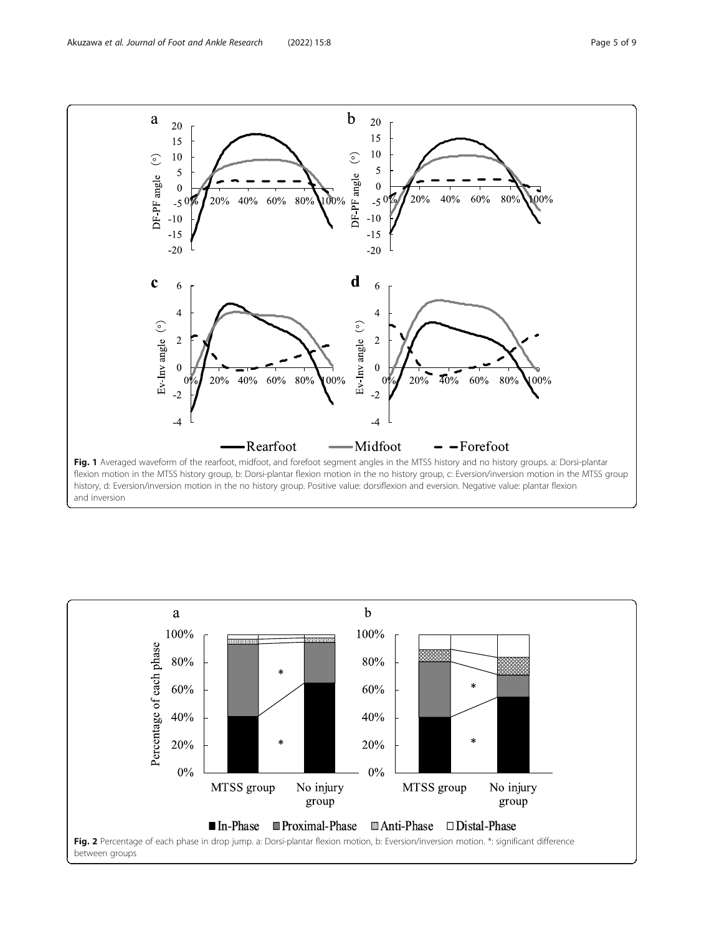<span id="page-4-0"></span>

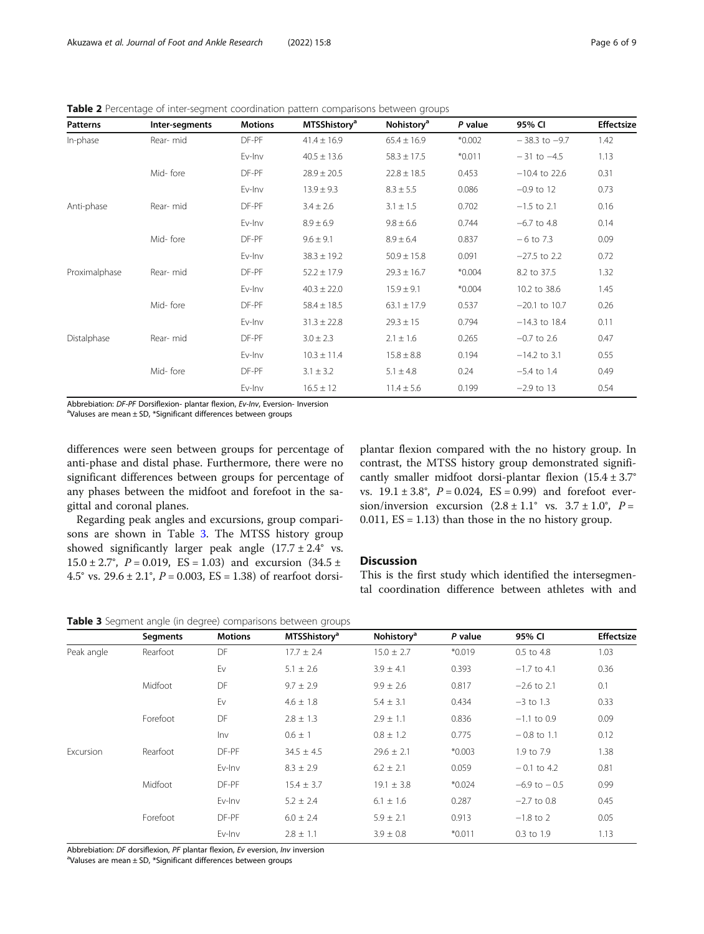<span id="page-5-0"></span>Table 2 Percentage of inter-segment coordination pattern comparisons between groups

| <b>Patterns</b> | Inter-segments | <b>Motions</b> | <b>MTSShistory<sup>a</sup></b> | Nohistory <sup>a</sup> | P value  | 95% CI            | Effectsize |
|-----------------|----------------|----------------|--------------------------------|------------------------|----------|-------------------|------------|
| In-phase        | Rear-mid       | DF-PF          | $41.4 \pm 16.9$                | $65.4 \pm 16.9$        | $*0.002$ | $-38.3$ to $-9.7$ | 1.42       |
|                 |                | Ev-Inv         | $40.5 \pm 13.6$                | $58.3 \pm 17.5$        | $*0.011$ | $-31$ to $-4.5$   | 1.13       |
|                 | Mid-fore       | DF-PF          | $28.9 \pm 20.5$                | $22.8 \pm 18.5$        | 0.453    | $-10.4$ to 22.6   | 0.31       |
|                 |                | Ev-Inv         | $13.9 \pm 9.3$                 | $8.3 \pm 5.5$          | 0.086    | $-0.9$ to 12      | 0.73       |
| Anti-phase      | Rear-mid       | DF-PF          | $3.4 \pm 2.6$                  | $3.1 \pm 1.5$          | 0.702    | $-1.5$ to 2.1     | 0.16       |
|                 |                | Ev-Inv         | $8.9 \pm 6.9$                  | $9.8 \pm 6.6$          | 0.744    | $-6.7$ to 4.8     | 0.14       |
|                 | Mid-fore       | DF-PF          | $9.6 \pm 9.1$                  | $8.9 \pm 6.4$          | 0.837    | $-6$ to 7.3       | 0.09       |
|                 |                | Ev-Inv         | $38.3 \pm 19.2$                | $50.9 \pm 15.8$        | 0.091    | $-27.5$ to 2.2    | 0.72       |
| Proximalphase   | Rear-mid       | DF-PF          | $52.2 \pm 17.9$                | $29.3 \pm 16.7$        | $*0.004$ | 8.2 to 37.5       | 1.32       |
|                 |                | Ev-Inv         | $40.3 \pm 22.0$                | $15.9 \pm 9.1$         | $*0.004$ | 10.2 to 38.6      | 1.45       |
|                 | Mid-fore       | DF-PF          | $58.4 \pm 18.5$                | $63.1 \pm 17.9$        | 0.537    | $-20.1$ to 10.7   | 0.26       |
|                 |                | Ev-Inv         | $31.3 \pm 22.8$                | $29.3 \pm 15$          | 0.794    | $-14.3$ to 18.4   | 0.11       |
| Distalphase     | Rear-mid       | DF-PF          | $3.0 \pm 2.3$                  | $2.1 \pm 1.6$          | 0.265    | $-0.7$ to 2.6     | 0.47       |
|                 |                | Ev-Inv         | $10.3 \pm 11.4$                | $15.8 \pm 8.8$         | 0.194    | $-14.2$ to 3.1    | 0.55       |
|                 | Mid-fore       | DF-PF          | $3.1 \pm 3.2$                  | $5.1 \pm 4.8$          | 0.24     | $-5.4$ to 1.4     | 0.49       |
|                 |                | Ev-Inv         | $16.5 \pm 12$                  | $11.4 \pm 5.6$         | 0.199    | $-2.9$ to 13      | 0.54       |

Abbrebiation: DF-PF Dorsiflexion- plantar flexion, Ev-Inv, Eversion- Inversion

<sup>a</sup>Valuses are mean  $\pm$  SD, \*Significant differences between groups

differences were seen between groups for percentage of anti-phase and distal phase. Furthermore, there were no significant differences between groups for percentage of any phases between the midfoot and forefoot in the sagittal and coronal planes.

Regarding peak angles and excursions, group comparisons are shown in Table 3. The MTSS history group showed significantly larger peak angle  $(17.7 \pm 2.4^{\circ} \text{ vs.}$  $15.0 \pm 2.7^{\circ}$ ,  $P = 0.019$ ,  $ES = 1.03$ ) and excursion  $(34.5 \pm 1.03)$ 4.5° vs. 29.6 ± 2.1°,  $P = 0.003$ ,  $ES = 1.38$ ) of rearfoot dorsi-

plantar flexion compared with the no history group. In contrast, the MTSS history group demonstrated significantly smaller midfoot dorsi-plantar flexion  $(15.4 \pm 3.7^\circ$ vs.  $19.1 \pm 3.8^{\circ}$ ,  $P = 0.024$ ,  $ES = 0.99$ ) and forefoot eversion/inversion excursion  $(2.8 \pm 1.1^{\circ} \text{ vs. } 3.7 \pm 1.0^{\circ}, P =$ 0.011,  $ES = 1.13$ ) than those in the no history group.

# Discussion

This is the first study which identified the intersegmental coordination difference between athletes with and

|  |  |  |  | Table 3 Segment angle (in degree) comparisons between groups |  |  |
|--|--|--|--|--------------------------------------------------------------|--|--|
|--|--|--|--|--------------------------------------------------------------|--|--|

|            | <b>Segments</b> | <b>Motions</b> | <b>MTSShistory<sup>a</sup></b> | Nohistory <sup>a</sup> | P value  | 95% CI           | Effectsize |
|------------|-----------------|----------------|--------------------------------|------------------------|----------|------------------|------------|
| Peak angle | Rearfoot        | DF             | $17.7 \pm 2.4$                 | $15.0 \pm 2.7$         | $*0.019$ | 0.5 to 4.8       | 1.03       |
|            |                 | Ev             | $5.1 \pm 2.6$                  | $3.9 \pm 4.1$          | 0.393    | $-1.7$ to 4.1    | 0.36       |
|            | Midfoot         | DF             | $9.7 \pm 2.9$                  | $9.9 \pm 2.6$          | 0.817    | $-2.6$ to 2.1    | 0.1        |
|            |                 | Ev             | $4.6 \pm 1.8$                  | $5.4 \pm 3.1$          | 0.434    | $-3$ to 1.3      | 0.33       |
|            | Forefoot        | DF             | $2.8 \pm 1.3$                  | $2.9 \pm 1.1$          | 0.836    | $-1.1$ to 0.9    | 0.09       |
|            |                 | Inv            | $0.6 \pm 1$                    | $0.8 \pm 1.2$          | 0.775    | $-0.8$ to 1.1    | 0.12       |
| Excursion  | Rearfoot        | DF-PF          | $34.5 \pm 4.5$                 | $29.6 \pm 2.1$         | $*0.003$ | 1.9 to 7.9       | 1.38       |
|            |                 | Ev-Inv         | $8.3 \pm 2.9$                  | $6.2 \pm 2.1$          | 0.059    | $-0.1$ to 4.2    | 0.81       |
|            | Midfoot         | DF-PF          | $15.4 \pm 3.7$                 | $19.1 \pm 3.8$         | $*0.024$ | $-6.9$ to $-0.5$ | 0.99       |
|            |                 | Ev-Inv         | $5.2 \pm 2.4$                  | $6.1 \pm 1.6$          | 0.287    | $-2.7$ to 0.8    | 0.45       |
|            | Forefoot        | DF-PF          | $6.0 \pm 2.4$                  | $5.9 \pm 2.1$          | 0.913    | $-1.8$ to 2      | 0.05       |
|            |                 | Ev-Inv         | $2.8 \pm 1.1$                  | $3.9 \pm 0.8$          | $*0.011$ | 0.3 to 1.9       | 1.13       |

Abbrebiation: DF dorsiflexion, PF plantar flexion, Ev eversion, Inv inversion

 $\textsuperscript{a}$ Valuses are mean  $\pm$  SD, \*Significant differences between groups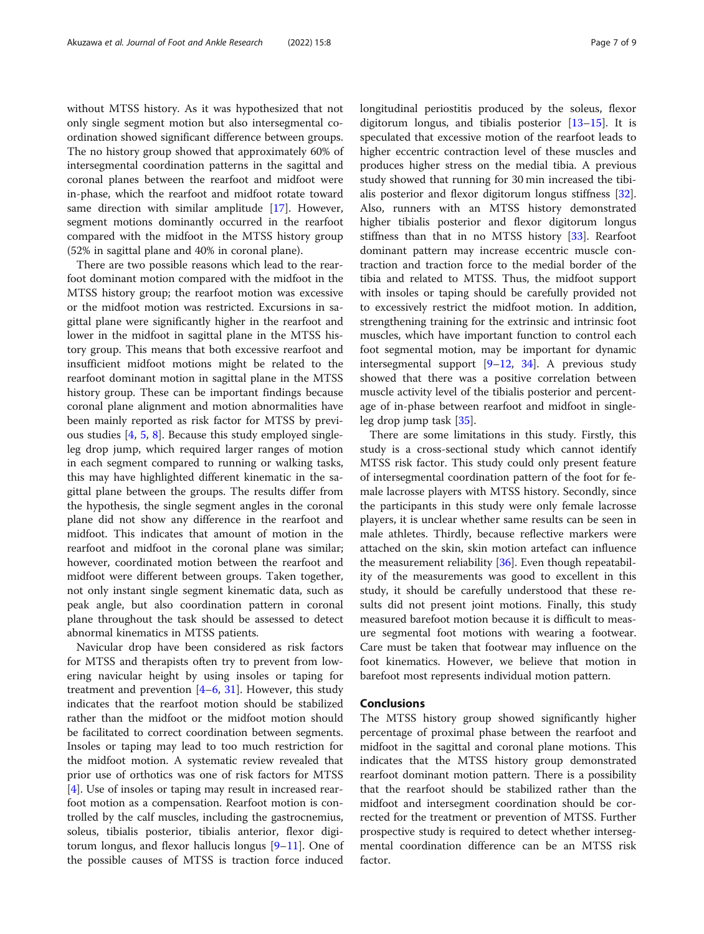without MTSS history. As it was hypothesized that not only single segment motion but also intersegmental coordination showed significant difference between groups. The no history group showed that approximately 60% of intersegmental coordination patterns in the sagittal and coronal planes between the rearfoot and midfoot were in-phase, which the rearfoot and midfoot rotate toward same direction with similar amplitude [\[17](#page-7-0)]. However, segment motions dominantly occurred in the rearfoot compared with the midfoot in the MTSS history group (52% in sagittal plane and 40% in coronal plane).

There are two possible reasons which lead to the rearfoot dominant motion compared with the midfoot in the MTSS history group; the rearfoot motion was excessive or the midfoot motion was restricted. Excursions in sagittal plane were significantly higher in the rearfoot and lower in the midfoot in sagittal plane in the MTSS history group. This means that both excessive rearfoot and insufficient midfoot motions might be related to the rearfoot dominant motion in sagittal plane in the MTSS history group. These can be important findings because coronal plane alignment and motion abnormalities have been mainly reported as risk factor for MTSS by previous studies  $[4, 5, 8]$  $[4, 5, 8]$  $[4, 5, 8]$  $[4, 5, 8]$  $[4, 5, 8]$  $[4, 5, 8]$ . Because this study employed singleleg drop jump, which required larger ranges of motion in each segment compared to running or walking tasks, this may have highlighted different kinematic in the sagittal plane between the groups. The results differ from the hypothesis, the single segment angles in the coronal plane did not show any difference in the rearfoot and midfoot. This indicates that amount of motion in the rearfoot and midfoot in the coronal plane was similar; however, coordinated motion between the rearfoot and midfoot were different between groups. Taken together, not only instant single segment kinematic data, such as peak angle, but also coordination pattern in coronal plane throughout the task should be assessed to detect abnormal kinematics in MTSS patients.

Navicular drop have been considered as risk factors for MTSS and therapists often try to prevent from lowering navicular height by using insoles or taping for treatment and prevention  $[4-6, 31]$  $[4-6, 31]$  $[4-6, 31]$  $[4-6, 31]$  $[4-6, 31]$  $[4-6, 31]$ . However, this study indicates that the rearfoot motion should be stabilized rather than the midfoot or the midfoot motion should be facilitated to correct coordination between segments. Insoles or taping may lead to too much restriction for the midfoot motion. A systematic review revealed that prior use of orthotics was one of risk factors for MTSS [[4\]](#page-7-0). Use of insoles or taping may result in increased rearfoot motion as a compensation. Rearfoot motion is controlled by the calf muscles, including the gastrocnemius, soleus, tibialis posterior, tibialis anterior, flexor digitorum longus, and flexor hallucis longus [[9](#page-7-0)–[11\]](#page-7-0). One of the possible causes of MTSS is traction force induced longitudinal periostitis produced by the soleus, flexor digitorum longus, and tibialis posterior [[13](#page-7-0)–[15](#page-7-0)]. It is speculated that excessive motion of the rearfoot leads to higher eccentric contraction level of these muscles and produces higher stress on the medial tibia. A previous study showed that running for 30 min increased the tibialis posterior and flexor digitorum longus stiffness [\[32](#page-8-0)]. Also, runners with an MTSS history demonstrated higher tibialis posterior and flexor digitorum longus stiffness than that in no MTSS history [\[33](#page-8-0)]. Rearfoot dominant pattern may increase eccentric muscle contraction and traction force to the medial border of the tibia and related to MTSS. Thus, the midfoot support with insoles or taping should be carefully provided not to excessively restrict the midfoot motion. In addition, strengthening training for the extrinsic and intrinsic foot muscles, which have important function to control each foot segmental motion, may be important for dynamic intersegmental support [\[9](#page-7-0)–[12,](#page-7-0) [34](#page-8-0)]. A previous study showed that there was a positive correlation between muscle activity level of the tibialis posterior and percentage of in-phase between rearfoot and midfoot in singleleg drop jump task [[35\]](#page-8-0).

There are some limitations in this study. Firstly, this study is a cross-sectional study which cannot identify MTSS risk factor. This study could only present feature of intersegmental coordination pattern of the foot for female lacrosse players with MTSS history. Secondly, since the participants in this study were only female lacrosse players, it is unclear whether same results can be seen in male athletes. Thirdly, because reflective markers were attached on the skin, skin motion artefact can influence the measurement reliability  $[36]$  $[36]$  $[36]$ . Even though repeatability of the measurements was good to excellent in this study, it should be carefully understood that these results did not present joint motions. Finally, this study measured barefoot motion because it is difficult to measure segmental foot motions with wearing a footwear. Care must be taken that footwear may influence on the foot kinematics. However, we believe that motion in barefoot most represents individual motion pattern.

### **Conclusions**

The MTSS history group showed significantly higher percentage of proximal phase between the rearfoot and midfoot in the sagittal and coronal plane motions. This indicates that the MTSS history group demonstrated rearfoot dominant motion pattern. There is a possibility that the rearfoot should be stabilized rather than the midfoot and intersegment coordination should be corrected for the treatment or prevention of MTSS. Further prospective study is required to detect whether intersegmental coordination difference can be an MTSS risk factor.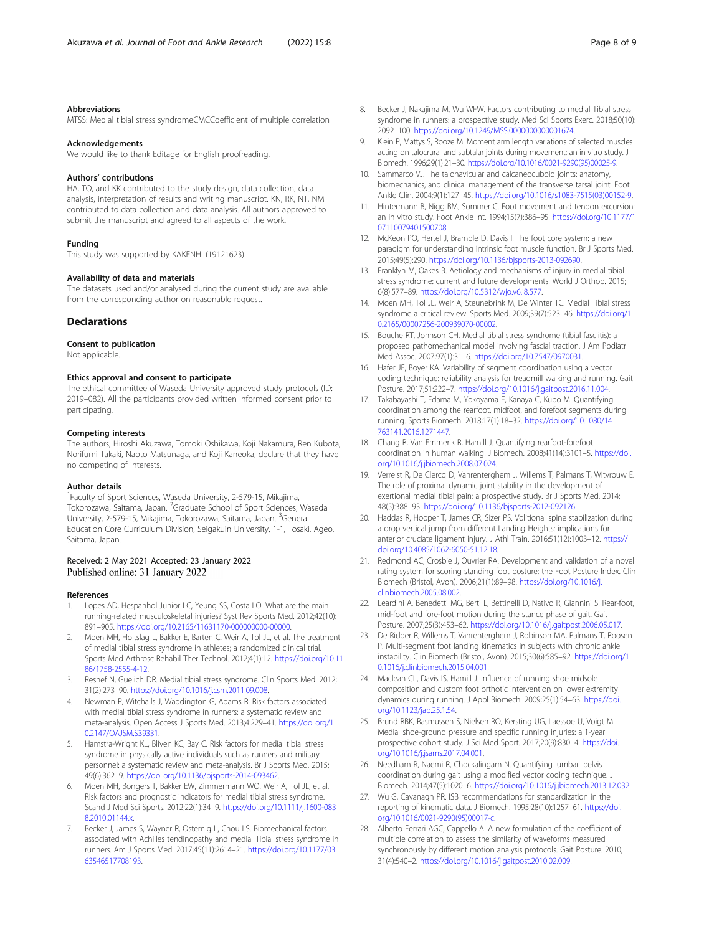#### <span id="page-7-0"></span>Abbreviations

MTSS: Medial tibial stress syndromeCMCCoefficient of multiple correlation

#### Acknowledgements

We would like to thank Editage for English proofreading.

#### Authors' contributions

HA, TO, and KK contributed to the study design, data collection, data analysis, interpretation of results and writing manuscript. KN, RK, NT, NM contributed to data collection and data analysis. All authors approved to submit the manuscript and agreed to all aspects of the work.

#### Funding

This study was supported by KAKENHI (19121623).

#### Availability of data and materials

The datasets used and/or analysed during the current study are available from the corresponding author on reasonable request.

#### **Declarations**

#### Consent to publication

Not applicable.

#### Ethics approval and consent to participate

The ethical committee of Waseda University approved study protocols (ID: 2019–082). All the participants provided written informed consent prior to participating.

#### Competing interests

The authors, Hiroshi Akuzawa, Tomoki Oshikawa, Koji Nakamura, Ren Kubota, Norifumi Takaki, Naoto Matsunaga, and Koji Kaneoka, declare that they have no competing of interests.

#### Author details

<sup>1</sup> Faculty of Sport Sciences, Waseda University, 2-579-15, Mikajima, Tokorozawa, Saitama, Japan. <sup>2</sup>Graduate School of Sport Sciences, Waseda University, 2-579-15, Mikajima, Tokorozawa, Saitama, Japan. <sup>3</sup>General Education Core Curriculum Division, Seigakuin University, 1-1, Tosaki, Ageo, Saitama, Japan.

#### Received: 2 May 2021 Accepted: 23 January 2022 Published online: 31 January 2022

#### References

- 1. Lopes AD, Hespanhol Junior LC, Yeung SS, Costa LO. What are the main running-related musculoskeletal injuries? Syst Rev Sports Med. 2012;42(10): 891–905. <https://doi.org/10.2165/11631170-000000000-00000>.
- 2. Moen MH, Holtslag L, Bakker E, Barten C, Weir A, Tol JL, et al. The treatment of medial tibial stress syndrome in athletes; a randomized clinical trial. Sports Med Arthrosc Rehabil Ther Technol. 2012;4(1):12. [https://doi.org/10.11](https://doi.org/10.1186/1758-2555-4-12) [86/1758-2555-4-12.](https://doi.org/10.1186/1758-2555-4-12)
- 3. Reshef N, Guelich DR. Medial tibial stress syndrome. Clin Sports Med. 2012; 31(2):273–90. <https://doi.org/10.1016/j.csm.2011.09.008>.
- 4. Newman P, Witchalls J, Waddington G, Adams R. Risk factors associated with medial tibial stress syndrome in runners: a systematic review and meta-analysis. Open Access J Sports Med. 2013;4:229–41. [https://doi.org/1](https://doi.org/10.2147/OAJSM.S39331) [0.2147/OAJSM.S39331](https://doi.org/10.2147/OAJSM.S39331).
- 5. Hamstra-Wright KL, Bliven KC, Bay C. Risk factors for medial tibial stress syndrome in physically active individuals such as runners and military personnel: a systematic review and meta-analysis. Br J Sports Med. 2015; 49(6):362–9. <https://doi.org/10.1136/bjsports-2014-093462>.
- 6. Moen MH, Bongers T, Bakker EW, Zimmermann WO, Weir A, Tol JL, et al. Risk factors and prognostic indicators for medial tibial stress syndrome. Scand J Med Sci Sports. 2012;22(1):34–9. [https://doi.org/10.1111/j.1600-083](https://doi.org/10.1111/j.1600-0838.2010.01144.x) [8.2010.01144.x](https://doi.org/10.1111/j.1600-0838.2010.01144.x).
- Becker J, James S, Wayner R, Osternig L, Chou LS. Biomechanical factors associated with Achilles tendinopathy and medial Tibial stress syndrome in runners. Am J Sports Med. 2017;45(11):2614–21. [https://doi.org/10.1177/03](https://doi.org/10.1177/0363546517708193) [63546517708193](https://doi.org/10.1177/0363546517708193).
- 8. Becker J, Nakajima M, Wu WFW. Factors contributing to medial Tibial stress syndrome in runners: a prospective study. Med Sci Sports Exerc. 2018;50(10): 2092–100. [https://doi.org/10.1249/MSS.0000000000001674.](https://doi.org/10.1249/MSS.0000000000001674)
- Klein P, Mattys S, Rooze M. Moment arm length variations of selected muscles acting on talocrural and subtalar joints during movement: an in vitro study. J Biomech. 1996;29(1):21–30. [https://doi.org/10.1016/0021-9290\(95\)00025-9.](https://doi.org/10.1016/0021-9290(95)00025-9)
- 10. Sammarco VJ. The talonavicular and calcaneocuboid joints: anatomy, biomechanics, and clinical management of the transverse tarsal joint. Foot Ankle Clin. 2004;9(1):127–45. [https://doi.org/10.1016/s1083-7515\(03\)00152-9.](https://doi.org/10.1016/s1083-7515(03)00152-9)
- 11. Hintermann B, Nigg BM, Sommer C. Foot movement and tendon excursion: an in vitro study. Foot Ankle Int. 1994;15(7):386–95. [https://doi.org/10.1177/1](https://doi.org/10.1177/107110079401500708) [07110079401500708.](https://doi.org/10.1177/107110079401500708)
- 12. McKeon PO, Hertel J, Bramble D, Davis I. The foot core system: a new paradigm for understanding intrinsic foot muscle function. Br J Sports Med. 2015;49(5):290. <https://doi.org/10.1136/bjsports-2013-092690>.
- 13. Franklyn M, Oakes B. Aetiology and mechanisms of injury in medial tibial stress syndrome: current and future developments. World J Orthop. 2015; 6(8):577–89. <https://doi.org/10.5312/wjo.v6.i8.577>.
- 14. Moen MH, Tol JL, Weir A, Steunebrink M, De Winter TC. Medial Tibial stress syndrome a critical review. Sports Med. 2009;39(7):523–46. [https://doi.org/1](https://doi.org/10.2165/00007256-200939070-00002) [0.2165/00007256-200939070-00002.](https://doi.org/10.2165/00007256-200939070-00002)
- 15. Bouche RT, Johnson CH. Medial tibial stress syndrome (tibial fasciitis): a proposed pathomechanical model involving fascial traction. J Am Podiatr Med Assoc. 2007;97(1):31–6. <https://doi.org/10.7547/0970031>.
- 16. Hafer JF, Boyer KA. Variability of segment coordination using a vector coding technique: reliability analysis for treadmill walking and running. Gait Posture. 2017;51:222–7. [https://doi.org/10.1016/j.gaitpost.2016.11.004.](https://doi.org/10.1016/j.gaitpost.2016.11.004)
- 17. Takabayashi T, Edama M, Yokoyama E, Kanaya C, Kubo M. Quantifying coordination among the rearfoot, midfoot, and forefoot segments during running. Sports Biomech. 2018;17(1):18–32. [https://doi.org/10.1080/14](https://doi.org/10.1080/14763141.2016.1271447) [763141.2016.1271447](https://doi.org/10.1080/14763141.2016.1271447).
- 18. Chang R, Van Emmerik R, Hamill J. Quantifying rearfoot-forefoot coordination in human walking. J Biomech. 2008;41(14):3101–5. [https://doi.](https://doi.org/10.1016/j.jbiomech.2008.07.024) [org/10.1016/j.jbiomech.2008.07.024.](https://doi.org/10.1016/j.jbiomech.2008.07.024)
- 19. Verrelst R, De Clercq D, Vanrenterghem J, Willems T, Palmans T, Witvrouw E. The role of proximal dynamic joint stability in the development of exertional medial tibial pain: a prospective study. Br J Sports Med. 2014; 48(5):388–93. [https://doi.org/10.1136/bjsports-2012-092126.](https://doi.org/10.1136/bjsports-2012-092126)
- 20. Haddas R, Hooper T, James CR, Sizer PS. Volitional spine stabilization during a drop vertical jump from different Landing Heights: implications for anterior cruciate ligament injury. J Athl Train. 2016;51(12):1003–12. [https://](https://doi.org/10.4085/1062-6050-51.12.18) [doi.org/10.4085/1062-6050-51.12.18.](https://doi.org/10.4085/1062-6050-51.12.18)
- 21. Redmond AC, Crosbie J, Ouvrier RA. Development and validation of a novel rating system for scoring standing foot posture: the Foot Posture Index. Clin Biomech (Bristol, Avon). 2006;21(1):89–98. [https://doi.org/10.1016/j.](https://doi.org/10.1016/j.clinbiomech.2005.08.002) [clinbiomech.2005.08.002](https://doi.org/10.1016/j.clinbiomech.2005.08.002).
- 22. Leardini A, Benedetti MG, Berti L, Bettinelli D, Nativo R, Giannini S. Rear-foot, mid-foot and fore-foot motion during the stance phase of gait. Gait Posture. 2007;25(3):453–62. <https://doi.org/10.1016/j.gaitpost.2006.05.017>.
- 23. De Ridder R, Willems T, Vanrenterghem J, Robinson MA, Palmans T, Roosen P. Multi-segment foot landing kinematics in subjects with chronic ankle instability. Clin Biomech (Bristol, Avon). 2015;30(6):585–92. [https://doi.org/1](https://doi.org/10.1016/j.clinbiomech.2015.04.001) [0.1016/j.clinbiomech.2015.04.001](https://doi.org/10.1016/j.clinbiomech.2015.04.001).
- 24. Maclean CL, Davis IS, Hamill J. Influence of running shoe midsole composition and custom foot orthotic intervention on lower extremity dynamics during running. J Appl Biomech. 2009;25(1):54–63. [https://doi.](https://doi.org/10.1123/jab.25.1.54) [org/10.1123/jab.25.1.54](https://doi.org/10.1123/jab.25.1.54).
- 25. Brund RBK, Rasmussen S, Nielsen RO, Kersting UG, Laessoe U, Voigt M. Medial shoe-ground pressure and specific running injuries: a 1-year prospective cohort study. J Sci Med Sport. 2017;20(9):830–4. [https://doi.](https://doi.org/10.1016/j.jsams.2017.04.001) [org/10.1016/j.jsams.2017.04.001.](https://doi.org/10.1016/j.jsams.2017.04.001)
- 26. Needham R, Naemi R, Chockalingam N. Quantifying lumbar–pelvis coordination during gait using a modified vector coding technique. J Biomech. 2014;47(5):1020–6. [https://doi.org/10.1016/j.jbiomech.2013.12.032.](https://doi.org/10.1016/j.jbiomech.2013.12.032)
- 27. Wu G, Cavanagh PR. ISB recommendations for standardization in the reporting of kinematic data. J Biomech. 1995;28(10):1257–61. [https://doi.](https://doi.org/10.1016/0021-9290(95)00017-c) [org/10.1016/0021-9290\(95\)00017-c](https://doi.org/10.1016/0021-9290(95)00017-c).
- 28. Alberto Ferrari AGC, Cappello A. A new formulation of the coefficient of multiple correlation to assess the similarity of waveforms measured synchronously by different motion analysis protocols. Gait Posture. 2010; 31(4):540–2. [https://doi.org/10.1016/j.gaitpost.2010.02.009.](https://doi.org/10.1016/j.gaitpost.2010.02.009)